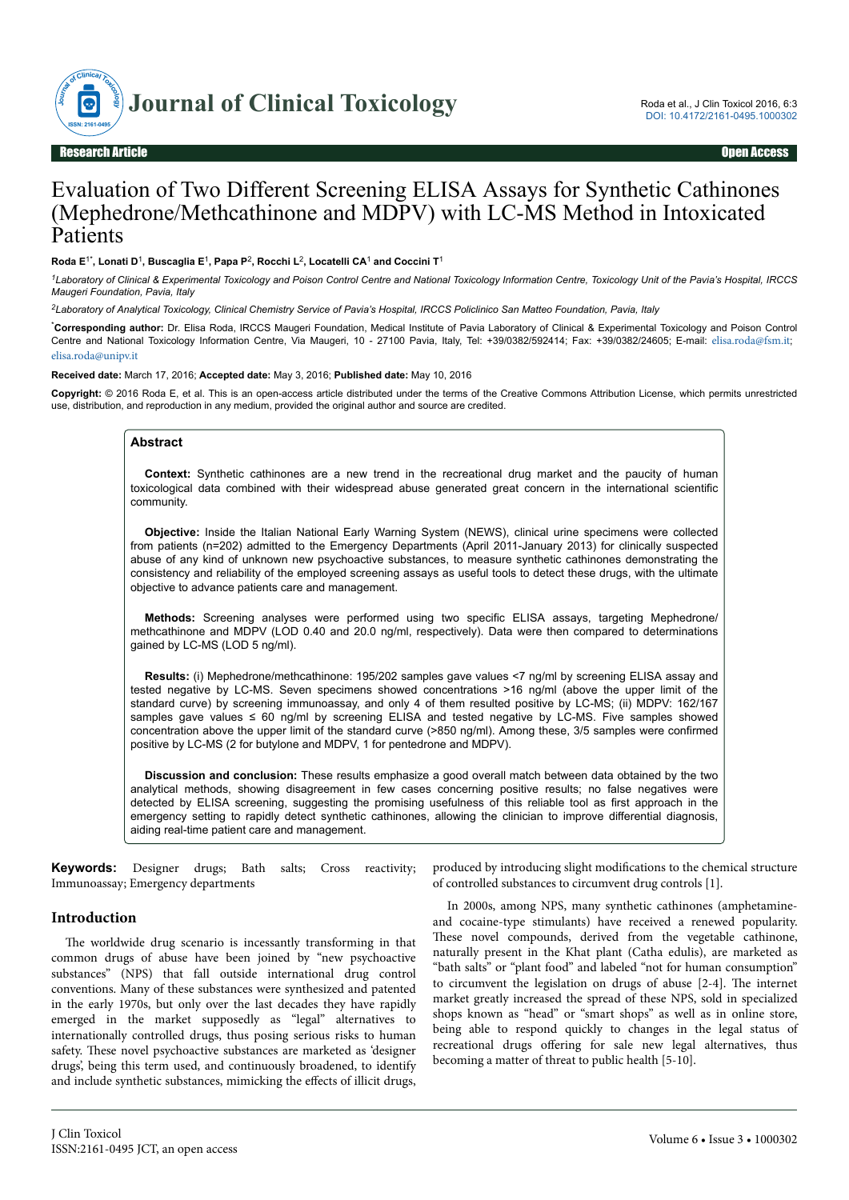

# Evaluation of Two Different Screening ELISA Assays for Synthetic Cathinones (Mephedrone/Methcathinone and MDPV) with LC-MS Method in Intoxicated **Patients**

### **Roda E**1\***, Lonati D**<sup>1</sup> **, Buscaglia E**<sup>1</sup> **, Papa P**<sup>2</sup> **, Rocchi L**<sup>2</sup> **, Locatelli CA**<sup>1</sup>  **and Coccini T**<sup>1</sup>

*<sup>1</sup>Laboratory of Clinical & Experimental Toxicology and Poison Control Centre and National Toxicology Information Centre, Toxicology Unit of the Pavia's Hospital, IRCCS Maugeri Foundation, Pavia, Italy*

*<sup>2</sup>Laboratory of Analytical Toxicology, Clinical Chemistry Service of Pavia's Hospital, IRCCS Policlinico San Matteo Foundation, Pavia, Italy*

\***Corresponding author:** Dr. Elisa Roda, IRCCS Maugeri Foundation, Medical Institute of Pavia Laboratory of Clinical & Experimental Toxicology and Poison Control Centre and National Toxicology Information Centre, Via Maugeri, 10 - 27100 Pavia, Italy, Tel: +39/0382/592414; Fax: +39/0382/24605; E-mail: [elisa.roda@fsm.it](mailto:elisa.roda@fsm.it); [elisa.roda@unipv.it](mailto:elisa.roda@unipv.it)

#### **Received date:** March 17, 2016; **Accepted date:** May 3, 2016; **Published date:** May 10, 2016

**Copyright:** © 2016 Roda E, et al. This is an open-access article distributed under the terms of the Creative Commons Attribution License, which permits unrestricted use, distribution, and reproduction in any medium, provided the original author and source are credited.

#### **Abstract**

**Context:** Synthetic cathinones are a new trend in the recreational drug market and the paucity of human toxicological data combined with their widespread abuse generated great concern in the international scientific community.

**Objective:** Inside the Italian National Early Warning System (NEWS), clinical urine specimens were collected from patients (n=202) admitted to the Emergency Departments (April 2011-January 2013) for clinically suspected abuse of any kind of unknown new psychoactive substances, to measure synthetic cathinones demonstrating the consistency and reliability of the employed screening assays as useful tools to detect these drugs, with the ultimate objective to advance patients care and management.

**Methods:** Screening analyses were performed using two specific ELISA assays, targeting Mephedrone/ methcathinone and MDPV (LOD 0.40 and 20.0 ng/ml, respectively). Data were then compared to determinations gained by LC-MS (LOD 5 ng/ml).

**Results:** (i) Mephedrone/methcathinone: 195/202 samples gave values <7 ng/ml by screening ELISA assay and tested negative by LC-MS. Seven specimens showed concentrations >16 ng/ml (above the upper limit of the standard curve) by screening immunoassay, and only 4 of them resulted positive by LC-MS; (ii) MDPV: 162/167 samples gave values ≤ 60 ng/ml by screening ELISA and tested negative by LC-MS. Five samples showed concentration above the upper limit of the standard curve (>850 ng/ml). Among these, 3/5 samples were confirmed positive by LC-MS (2 for butylone and MDPV, 1 for pentedrone and MDPV).

**Discussion and conclusion:** These results emphasize a good overall match between data obtained by the two analytical methods, showing disagreement in few cases concerning positive results; no false negatives were detected by ELISA screening, suggesting the promising usefulness of this reliable tool as first approach in the emergency setting to rapidly detect synthetic cathinones, allowing the clinician to improve differential diagnosis, aiding real-time patient care and management.

**Keywords:** Designer drugs; Bath salts; Cross reactivity; Immunoassay; Emergency departments

## **Introduction**

The worldwide drug scenario is incessantly transforming in that common drugs of abuse have been joined by "new psychoactive substances" (NPS) that fall outside international drug control conventions. Many of these substances were synthesized and patented in the early 1970s, but only over the last decades they have rapidly emerged in the market supposedly as "legal" alternatives to internationally controlled drugs, thus posing serious risks to human safety. Нese novel psychoactive substances are marketed as 'designer drugs', being this term used, and continuously broadened, to identify and include synthetic substances, mimicking the effects of illicit drugs,

produced by introducing slight modifications to the chemical structure of controlled substances to circumvent drug controls [1].

In 2000s, among NPS, many synthetic cathinones (amphetamineand cocaine-type stimulants) have received a renewed popularity. These novel compounds, derived from the vegetable cathinone, naturally present in the Khat plant (Catha edulis), are marketed as "bath salts" or "plant food" and labeled "not for human consumption" to circumvent the legislation on drugs of abuse [2-4]. Нe internet market greatly increased the spread of these NPS, sold in specialized shops known as "head" or "smart shops" as well as in online store, being able to respond quickly to changes in the legal status of recreational drugs offering for sale new legal alternatives, thus becoming a matter of threat to public health [5-10].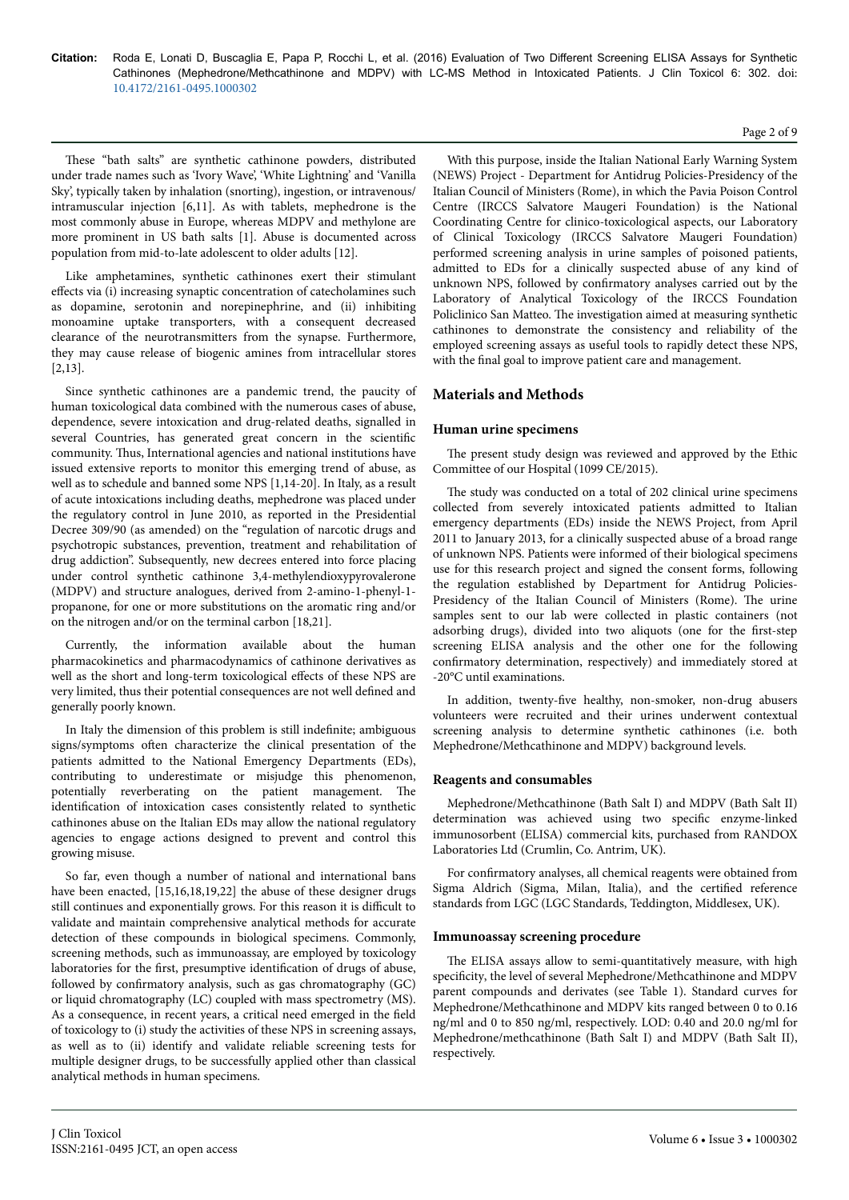These "bath salts" are synthetic cathinone powders, distributed under trade names such as 'Ivory Wave', 'White Lightning' and 'Vanilla Sky', typically taken by inhalation (snorting), ingestion, or intravenous/ intramuscular injection [6,11]. As with tablets, mephedrone is the most commonly abuse in Europe, whereas MDPV and methylone are more prominent in US bath salts [1]. Abuse is documented across population from mid-to-late adolescent to older adults [12].

Like amphetamines, synthetic cathinones exert their stimulant effects via (i) increasing synaptic concentration of catecholamines such as dopamine, serotonin and norepinephrine, and (ii) inhibiting monoamine uptake transporters, with a consequent decreased clearance of the neurotransmitters from the synapse. Furthermore, they may cause release of biogenic amines from intracellular stores [2,13].

Since synthetic cathinones are a pandemic trend, the paucity of human toxicological data combined with the numerous cases of abuse, dependence, severe intoxication and drug-related deaths, signalled in several Countries, has generated great concern in the scientific community. Нus, International agencies and national institutions have issued extensive reports to monitor this emerging trend of abuse, as well as to schedule and banned some NPS [1,14-20]. In Italy, as a result of acute intoxications including deaths, mephedrone was placed under the regulatory control in June 2010, as reported in the Presidential Decree 309/90 (as amended) on the "regulation of narcotic drugs and psychotropic substances, prevention, treatment and rehabilitation of drug addiction". Subsequently, new decrees entered into force placing under control synthetic cathinone 3,4-methylendioxypyrovalerone (MDPV) and structure analogues, derived from 2-amino-1-phenyl-1 propanone, for one or more substitutions on the aromatic ring and/or on the nitrogen and/or on the terminal carbon [18,21].

Currently, the information available about the human pharmacokinetics and pharmacodynamics of cathinone derivatives as well as the short and long-term toxicological effects of these NPS are very limited, thus their potential consequences are not well defined and generally poorly known.

In Italy the dimension of this problem is still indefinite; ambiguous signs/symptoms often characterize the clinical presentation of the patients admitted to the National Emergency Departments (EDs), contributing to underestimate or misjudge this phenomenon, potentially reverberating on the patient management. Нe identification of intoxication cases consistently related to synthetic cathinones abuse on the Italian EDs may allow the national regulatory agencies to engage actions designed to prevent and control this growing misuse.

So far, even though a number of national and international bans have been enacted, [15,16,18,19,22] the abuse of these designer drugs still continues and exponentially grows. For this reason it is difficult to validate and maintain comprehensive analytical methods for accurate detection of these compounds in biological specimens. Commonly, screening methods, such as immunoassay, are employed by toxicology laboratories for the first, presumptive identification of drugs of abuse, followed by confirmatory analysis, such as gas chromatography (GC) or liquid chromatography (LC) coupled with mass spectrometry (MS). As a consequence, in recent years, a critical need emerged in the field of toxicology to (i) study the activities of these NPS in screening assays, as well as to (ii) identify and validate reliable screening tests for multiple designer drugs, to be successfully applied other than classical analytical methods in human specimens.

With this purpose, inside the Italian National Early Warning System (NEWS) Project - Department for Antidrug Policies-Presidency of the Italian Council of Ministers (Rome), in which the Pavia Poison Control Centre (IRCCS Salvatore Maugeri Foundation) is the National Coordinating Centre for clinico-toxicological aspects, our Laboratory of Clinical Toxicology (IRCCS Salvatore Maugeri Foundation) performed screening analysis in urine samples of poisoned patients, admitted to EDs for a clinically suspected abuse of any kind of unknown NPS, followed by confirmatory analyses carried out by the Laboratory of Analytical Toxicology of the IRCCS Foundation Policlinico San Matteo. Нe investigation aimed at measuring synthetic cathinones to demonstrate the consistency and reliability of the employed screening assays as useful tools to rapidly detect these NPS, with the final goal to improve patient care and management.

## **Materials and Methods**

## **Human urine specimens**

The present study design was reviewed and approved by the Ethic Committee of our Hospital (1099 CE/2015).

The study was conducted on a total of 202 clinical urine specimens collected from severely intoxicated patients admitted to Italian emergency departments (EDs) inside the NEWS Project, from April 2011 to January 2013, for a clinically suspected abuse of a broad range of unknown NPS. Patients were informed of their biological specimens use for this research project and signed the consent forms, following the regulation established by Department for Antidrug Policies-Presidency of the Italian Council of Ministers (Rome). Нe urine samples sent to our lab were collected in plastic containers (not adsorbing drugs), divided into two aliquots (one for the first-step screening ELISA analysis and the other one for the following confirmatory determination, respectively) and immediately stored at -20°C until examinations.

In addition, twenty-five healthy, non-smoker, non-drug abusers volunteers were recruited and their urines underwent contextual screening analysis to determine synthetic cathinones (i.e. both Mephedrone/Methcathinone and MDPV) background levels.

## **Reagents and consumables**

Mephedrone/Methcathinone (Bath Salt I) and MDPV (Bath Salt II) determination was achieved using two specific enzyme-linked immunosorbent (ELISA) commercial kits, purchased from RANDOX Laboratories Ltd (Crumlin, Co. Antrim, UK).

For confirmatory analyses, all chemical reagents were obtained from Sigma Aldrich (Sigma, Milan, Italia), and the certified reference standards from LGC (LGC Standards, Teddington, Middlesex, UK).

#### **Immunoassay screening procedure**

The ELISA assays allow to semi-quantitatively measure, with high specificity, the level of several Mephedrone/Methcathinone and MDPV parent compounds and derivates (see Table 1). Standard curves for Mephedrone/Methcathinone and MDPV kits ranged between 0 to 0.16 ng/ml and 0 to 850 ng/ml, respectively. LOD: 0.40 and 20.0 ng/ml for Mephedrone/methcathinone (Bath Salt I) and MDPV (Bath Salt II), respectively.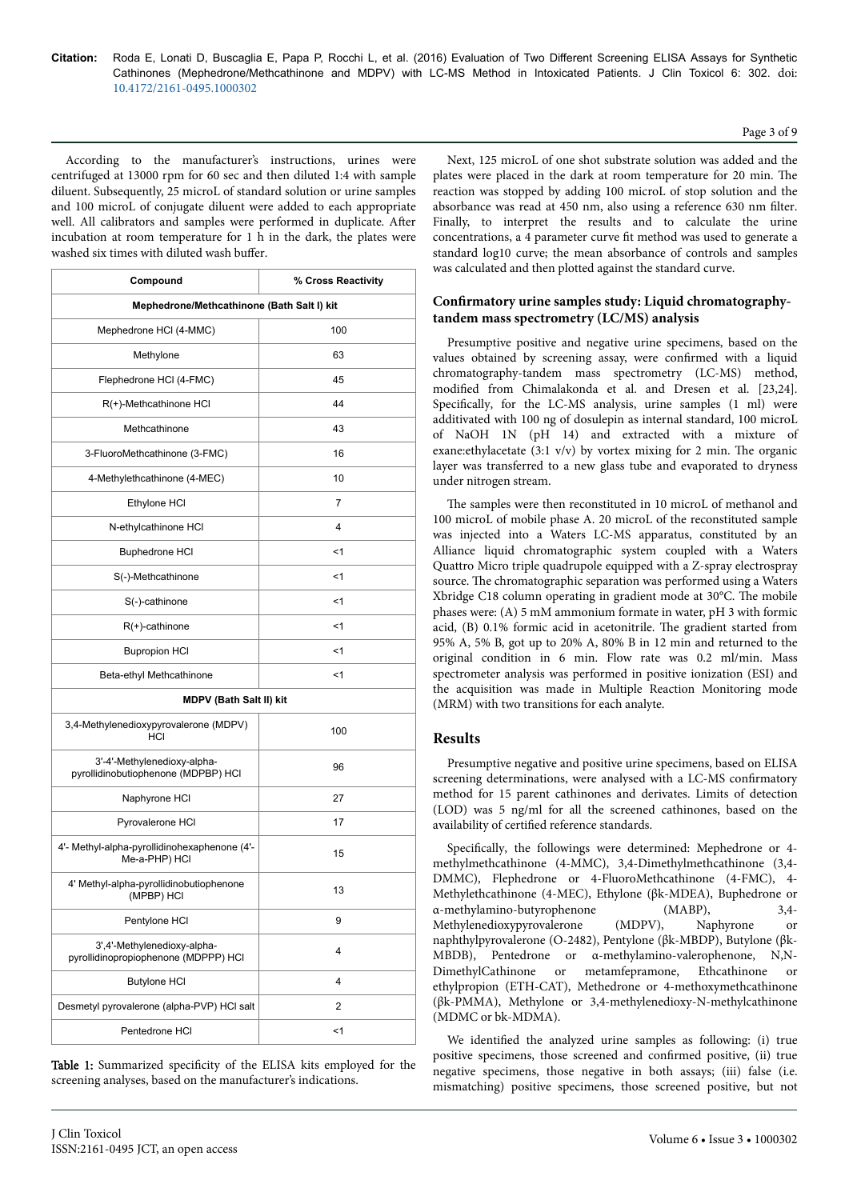According to the manufacturer's instructions, urines were centrifuged at 13000 rpm for 60 sec and then diluted 1:4 with sample diluent. Subsequently, 25 microL of standard solution or urine samples and 100 microL of conjugate diluent were added to each appropriate well. All calibrators and samples were performed in duplicate. After incubation at room temperature for 1 h in the dark, the plates were washed six times with diluted wash buffer.

| Compound                                                            | % Cross Reactivity |  |  |  |
|---------------------------------------------------------------------|--------------------|--|--|--|
| Mephedrone/Methcathinone (Bath Salt I) kit                          |                    |  |  |  |
| Mephedrone HCI (4-MMC)                                              | 100                |  |  |  |
| Methylone                                                           | 63                 |  |  |  |
| Flephedrone HCI (4-FMC)                                             | 45                 |  |  |  |
| R(+)-Methcathinone HCl                                              | 44                 |  |  |  |
| Methcathinone                                                       | 43                 |  |  |  |
| 3-FluoroMethcathinone (3-FMC)                                       | 16                 |  |  |  |
| 4-Methylethcathinone (4-MEC)                                        | 10                 |  |  |  |
| Ethylone HCI                                                        | 7                  |  |  |  |
| N-ethylcathinone HCI                                                | 4                  |  |  |  |
| <b>Buphedrone HCI</b>                                               | $<$ 1              |  |  |  |
| S(-)-Methcathinone                                                  | $<$ 1              |  |  |  |
| S(-)-cathinone                                                      | <1                 |  |  |  |
| $R(+)$ -cathinone                                                   | $<$ 1              |  |  |  |
| <b>Bupropion HCI</b>                                                | $<$ 1              |  |  |  |
| Beta-ethyl Methcathinone                                            | <1                 |  |  |  |
| <b>MDPV (Bath Salt II) kit</b>                                      |                    |  |  |  |
| 3,4-Methylenedioxypyrovalerone (MDPV)<br>HCI                        | 100                |  |  |  |
| 3'-4'-Methylenedioxy-alpha-<br>pyrollidinobutiophenone (MDPBP) HCI  | 96                 |  |  |  |
| Naphyrone HCI                                                       | 27                 |  |  |  |
| Pyrovalerone HCI                                                    | 17                 |  |  |  |
| 4'- Methyl-alpha-pyrollidinohexaphenone (4'-<br>Me-a-PHP) HCI       | 15                 |  |  |  |
| 4' Methyl-alpha-pyrollidinobutiophenone<br>(MPBP) HCI               | 13                 |  |  |  |
| Pentylone HCI                                                       | 9                  |  |  |  |
| 3',4'-Methylenedioxy-alpha-<br>pyrollidinopropiophenone (MDPPP) HCl | 4                  |  |  |  |
| <b>Butylone HCI</b>                                                 | 4                  |  |  |  |
| Desmetyl pyrovalerone (alpha-PVP) HCl salt                          | 2                  |  |  |  |
| Pentedrone HCI                                                      | $<$ 1              |  |  |  |

Table 1: Summarized specificity of the ELISA kits employed for the screening analyses, based on the manufacturer's indications.

J Clin Toxicol

Next, 125 microL of one shot substrate solution was added and the plates were placed in the dark at room temperature for 20 min. Нe reaction was stopped by adding 100 microL of stop solution and the absorbance was read at 450 nm, also using a reference 630 nm filter. Finally, to interpret the results and to calculate the urine concentrations, a 4 parameter curve fit method was used to generate a standard log10 curve; the mean absorbance of controls and samples was calculated and then plotted against the standard curve.

## Confirmatory urine samples study: Liquid chromatography**tandem mass spectrometry (LC/MS) analysis**

Presumptive positive and negative urine specimens, based on the values obtained by screening assay, were confirmed with a liquid chromatography-tandem mass spectrometry (LC-MS) method, modified from Chimalakonda et al. and Dresen et al. [23,24]. Specifically, for the LC-MS analysis, urine samples (1 ml) were additivated with 100 ng of dosulepin as internal standard, 100 microL of NaOH 1N (pH 14) and extracted with a mixture of exane:ethylacetate (3:1 v/v) by vortex mixing for 2 min. The organic layer was transferred to a new glass tube and evaporated to dryness under nitrogen stream.

The samples were then reconstituted in 10 microL of methanol and 100 microL of mobile phase A. 20 microL of the reconstituted sample was injected into a Waters LC-MS apparatus, constituted by an Alliance liquid chromatographic system coupled with a Waters Quattro Micro triple quadrupole equipped with a Z-spray electrospray source. Нe chromatographic separation was performed using a Waters Xbridge C18 column operating in gradient mode at 30°C. Нe mobile phases were: (A) 5 mM ammonium formate in water, pH 3 with formic acid, (B) 0.1% formic acid in acetonitrile. Нe gradient started from 95% A, 5% B, got up to 20% A, 80% B in 12 min and returned to the original condition in 6 min. Flow rate was 0.2 ml/min. Mass spectrometer analysis was performed in positive ionization (ESI) and the acquisition was made in Multiple Reaction Monitoring mode (MRM) with two transitions for each analyte.

# **Results**

Presumptive negative and positive urine specimens, based on ELISA screening determinations, were analysed with a LC-MS confirmator\ method for 15 parent cathinones and derivates. Limits of detection (LOD) was 5 ng/ml for all the screened cathinones, based on the availability of certified reference standards.

Specifically, the followings were determined: Mephedrone or 4methylmethcathinone (4-MMC), 3,4-Dimethylmethcathinone (3,4- DMMC), Flephedrone or 4-FluoroMethcathinone (4-FMC), 4- Methylethcathinone (4-MEC), Ethylone (βk-MDEA), Buphedrone or α-methylamino-butyrophenone (MABP), 3,4- Methylenedioxypyrovalerone (MDPV), Naphyrone or naphthylpyrovalerone (O-2482), Pentylone (βk-MBDP), Butylone (βk-MBDB), Pentedrone or α-methylamino-valerophenone, N,N-DimethylCathinone or metamfepramone, Ethcathinone or ethylpropion (ETH-CAT), Methedrone or 4-methoxymethcathinone (βk-PMMA), Methylone or 3,4-methylenedioxy-N-methylcathinone (MDMC or bk-MDMA).

We identified the analyzed urine samples as following: (i) true positive specimens, those screened and confirmed positive, (ii) true negative specimens, those negative in both assays; (iii) false (i.e. mismatching) positive specimens, those screened positive, but not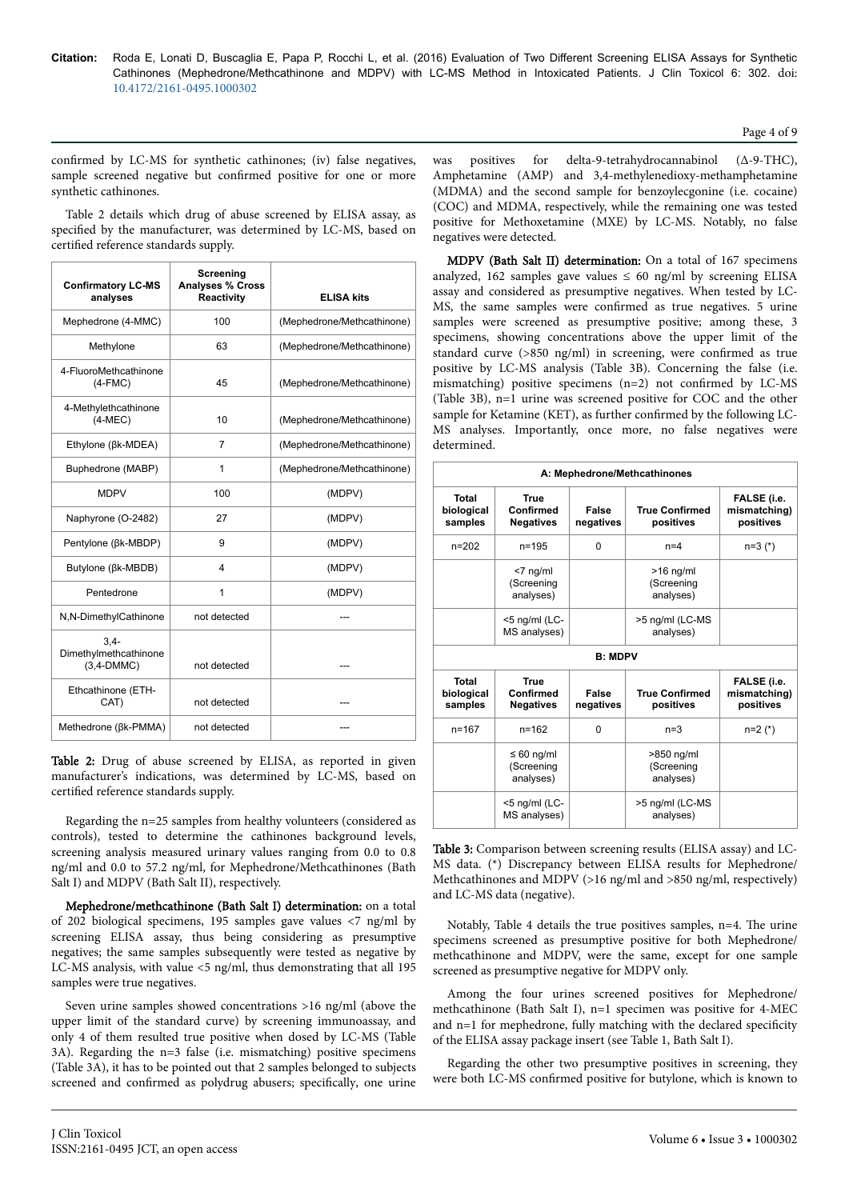Page 4 of 9

confirmed by LC-MS for synthetic cathinones; (iv) false negatives, sample screened negative but confirmed positive for one or more synthetic cathinones.

Table 2 details which drug of abuse screened by ELISA assay, as specified by the manufacturer, was determined by LC-MS, based on certified reference standards supply.

| <b>Confirmatory LC-MS</b><br>analyses           | Screening<br><b>Analyses % Cross</b><br>Reactivity | <b>ELISA kits</b>          |
|-------------------------------------------------|----------------------------------------------------|----------------------------|
| Mephedrone (4-MMC)                              | 100                                                | (Mephedrone/Methcathinone) |
| Methylone                                       | 63                                                 | (Mephedrone/Methcathinone) |
| 4-FluoroMethcathinone<br>$(4-FMC)$              | 45                                                 | (Mephedrone/Methcathinone) |
| 4-Methylethcathinone<br>$(4-MEC)$               | 10                                                 | (Mephedrone/Methcathinone) |
| Ethylone (Bk-MDEA)                              | $\overline{7}$                                     | (Mephedrone/Methcathinone) |
| Buphedrone (MABP)                               | 1                                                  | (Mephedrone/Methcathinone) |
| <b>MDPV</b>                                     | 100                                                | (MDPV)                     |
| Naphyrone (O-2482)                              | 27                                                 | (MDPV)                     |
| Pentylone (Bk-MBDP)                             | 9                                                  | (MDPV)                     |
| Butylone (βk-MBDB)                              | 4                                                  | (MDPV)                     |
| Pentedrone                                      | 1                                                  | (MDPV)                     |
| N,N-DimethylCathinone                           | not detected                                       |                            |
| $3,4-$<br>Dimethylmethcathinone<br>$(3.4-DMMC)$ | not detected                                       |                            |
| Ethcathinone (ETH-<br>CAT)                      | not detected                                       |                            |
| Methedrone (βk-PMMA)                            | not detected                                       |                            |

Table 2: Drug of abuse screened by ELISA, as reported in given manufacturer's indications, was determined by LC-MS, based on certified reference standards supply.

Regarding the n=25 samples from healthy volunteers (considered as controls), tested to determine the cathinones background levels, screening analysis measured urinary values ranging from 0.0 to 0.8 ng/ml and 0.0 to 57.2 ng/ml, for Mephedrone/Methcathinones (Bath Salt I) and MDPV (Bath Salt II), respectively.

Mephedrone/methcathinone (Bath Salt I) determination: on a total of 202 biological specimens, 195 samples gave values <7 ng/ml by screening ELISA assay, thus being considering as presumptive negatives; the same samples subsequently were tested as negative by LC-MS analysis, with value <5 ng/ml, thus demonstrating that all 195 samples were true negatives.

Seven urine samples showed concentrations >16 ng/ml (above the upper limit of the standard curve) by screening immunoassay, and only 4 of them resulted true positive when dosed by LC-MS (Table 3A). Regarding the n=3 false (i.e. mismatching) positive specimens (Table 3A), it has to be pointed out that 2 samples belonged to subjects screened and confirmed as polydrug abusers; specifically, one urine

was positives for delta-9-tetrahydrocannabinol (Δ-9-THC), Amphetamine (AMP) and 3,4-methylenedioxy-methamphetamine (MDMA) and the second sample for benzoylecgonine (i.e. cocaine) (COC) and MDMA, respectively, while the remaining one was tested positive for Methoxetamine (MXE) by LC-MS. Notably, no false negatives were detected.

MDPV (Bath Salt II) determination: On a total of 167 specimens analyzed, 162 samples gave values  $\leq 60$  ng/ml by screening ELISA assay and considered as presumptive negatives. When tested by LC-MS, the same samples were confirmed as true negatives. 5 urine samples were screened as presumptive positive; among these, 3 specimens, showing concentrations above the upper limit of the standard curve (>850 ng/ml) in screening, were confirmed as true positive by LC-MS analysis (Table 3B). Concerning the false (i.e. mismatching) positive specimens (n=2) not confirmed by LC-MS (Table 3B), n=1 urine was screened positive for COC and the other sample for Ketamine (KET), as further confirmed by the following LC-MS analyses. Importantly, once more, no false negatives were determined.

| A: Mephedrone/Methcathinones   |                                              |                    |                                        |                                          |  |  |  |
|--------------------------------|----------------------------------------------|--------------------|----------------------------------------|------------------------------------------|--|--|--|
| Total<br>biological<br>samples | <b>True</b><br>Confirmed<br><b>Negatives</b> | False<br>negatives | <b>True Confirmed</b><br>positives     | FALSE (i.e.<br>mismatching)<br>positives |  |  |  |
| $n = 202$                      | $n = 195$                                    | $\Omega$           | $n=4$                                  | $n=3$ $(*)$                              |  |  |  |
|                                | $<$ 7 ng/ml<br>(Screening<br>analyses)       |                    | $>16$ ng/ml<br>(Screening<br>analyses) |                                          |  |  |  |
|                                | $<$ 5 ng/ml (LC-<br>MS analyses)             |                    | >5 ng/ml (LC-MS<br>analyses)           |                                          |  |  |  |
|                                | <b>B: MDPV</b>                               |                    |                                        |                                          |  |  |  |
| Total<br>biological<br>samples | True<br>Confirmed<br><b>Negatives</b>        | False<br>negatives | <b>True Confirmed</b><br>positives     | FALSE (i.e.<br>mismatching)<br>positives |  |  |  |
| $n = 167$                      | $n = 162$                                    | $\Omega$           | $n=3$                                  | $n=2$ (*)                                |  |  |  |
|                                | ≤ 60 ng/ml<br>(Screening<br>analyses)        |                    | >850 ng/ml<br>(Screening<br>analyses)  |                                          |  |  |  |
|                                | <5 ng/ml (LC-<br>MS analyses)                |                    | >5 ng/ml (LC-MS<br>analyses)           |                                          |  |  |  |

Table 3: Comparison between screening results (ELISA assay) and LC-MS data. (\*) Discrepancy between ELISA results for Mephedrone/ Methcathinones and MDPV (>16 ng/ml and >850 ng/ml, respectively) and LC-MS data (negative).

Notably, Table 4 details the true positives samples, n=4. Нe urine specimens screened as presumptive positive for both Mephedrone/ methcathinone and MDPV, were the same, except for one sample screened as presumptive negative for MDPV only.

Among the four urines screened positives for Mephedrone/ methcathinone (Bath Salt I), n=1 specimen was positive for 4-MEC and  $n=1$  for mephedrone, fully matching with the declared specificity of the ELISA assay package insert (see Table 1, Bath Salt I).

Regarding the other two presumptive positives in screening, they were both LC-MS confirmed positive for butylone, which is known to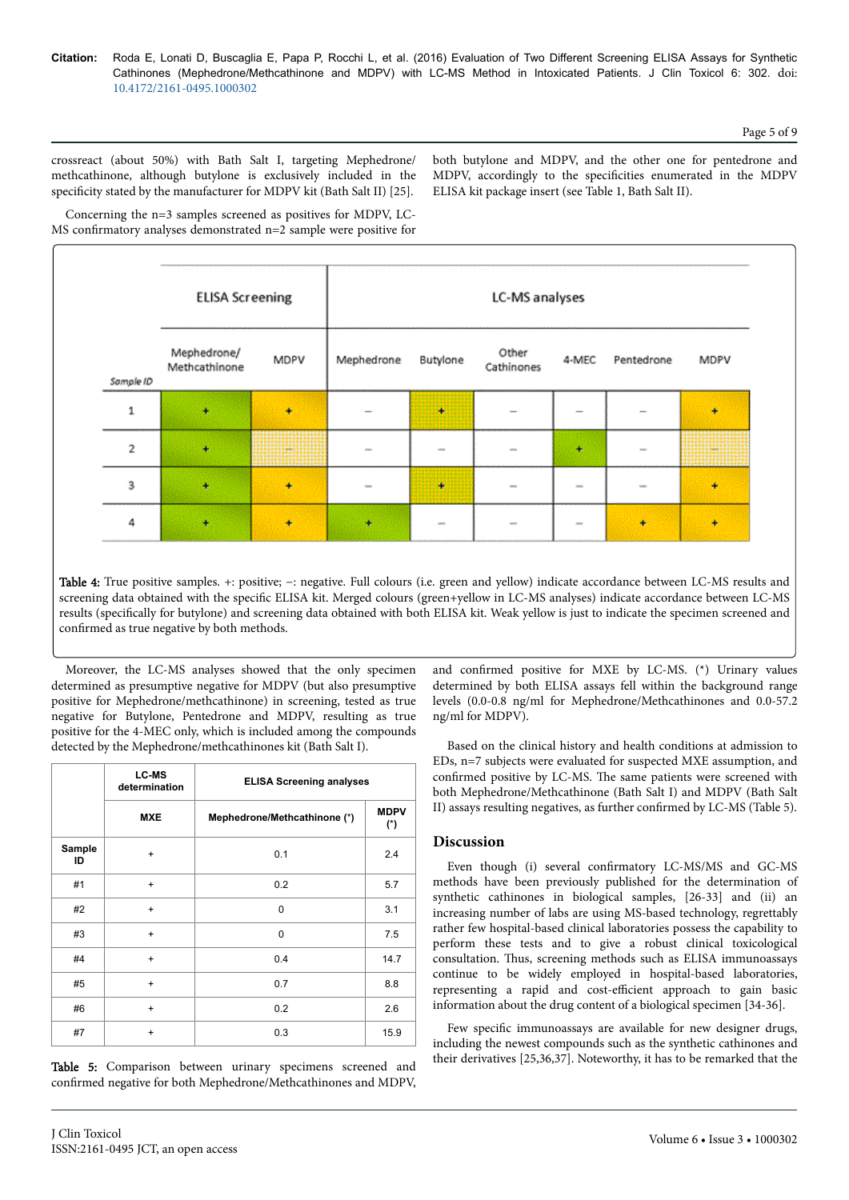crossreact (about 50%) with Bath Salt I, targeting Mephedrone/ methcathinone, although butylone is exclusively included in the specificity stated by the manufacturer for MDPV kit (Bath Salt II) [25].

Concerning the n=3 samples screened as positives for MDPV, LC-MS confirmatory analyses demonstrated n=2 sample were positive for

**ELISA Screening** LC-MS analyses Mephedrone/ Other **MDPV** Mephedrone Butylone 4-MFC Pentedrone MDPV Methcathinone Cathinones Sample ID  $\mathbf{1}$ ¥ ٦  $\overline{2}$ ٠ ¥ 3 4 ٠ t. Ŧ 4 ¥

Table 4: True positive samples. +: positive; -: negative. Full colours (i.e. green and yellow) indicate accordance between LC-MS results and screening data obtained with the specific ELISA kit. Merged colours (green+yellow in LC-MS analyses) indicate accordance between LC-MS results (specifically for butylone) and screening data obtained with both ELISA kit. Weak yellow is just to indicate the specimen screened and confirmed as true negative by both methods.

Moreover, the LC-MS analyses showed that the only specimen determined as presumptive negative for MDPV (but also presumptive positive for Mephedrone/methcathinone) in screening, tested as true negative for Butylone, Pentedrone and MDPV, resulting as true positive for the 4-MEC only, which is included among the compounds detected by the Mephedrone/methcathinones kit (Bath Salt I).

|              | <b>LC-MS</b><br>determination | <b>ELISA Screening analyses</b> |                      |  |
|--------------|-------------------------------|---------------------------------|----------------------|--|
|              | <b>MXE</b>                    | Mephedrone/Methcathinone (*)    | <b>MDPV</b><br>$(*)$ |  |
| Sample<br>ID | $\ddot{}$                     | 0.1                             | 2.4                  |  |
| #1           | $\ddot{}$                     | 0.2                             | 5.7                  |  |
| #2           | $\ddot{}$                     | $\Omega$                        | 3.1                  |  |
| #3           | $\ddot{}$                     | $\mathbf 0$                     | 7.5                  |  |
| #4           | $\ddot{}$                     | 0.4                             | 14.7                 |  |
| #5           | $\ddot{}$                     | 0.7                             | 8.8                  |  |
| #6           | $\ddot{}$                     | 0.2                             | 2.6                  |  |
| #7           | $\ddot{}$                     | 0.3                             | 15.9                 |  |

Table 5: Comparison between urinary specimens screened and confirmed negative for both Mephedrone/Methcathinones and MDPV,

and confirmed positive for MXE by LC-MS. (\*) Urinary values determined by both ELISA assays fell within the background range levels (0.0-0.8 ng/ml for Mephedrone/Methcathinones and 0.0-57.2 ng/ml for MDPV).

both butylone and MDPV, and the other one for pentedrone and MDPV, accordingly to the specificities enumerated in the MDPV

ELISA kit package insert (see Table 1, Bath Salt II).

Based on the clinical history and health conditions at admission to EDs, n=7 subjects were evaluated for suspected MXE assumption, and confirmed positive by LC-MS. Нe same patients were screened with both Mephedrone/Methcathinone (Bath Salt I) and MDPV (Bath Salt II) assays resulting negatives, as further confirmed by LC-MS (Table 5).

# **Discussion**

Even though (i) several confirmatory LC-MS/MS and GC-MS methods have been previously published for the determination of synthetic cathinones in biological samples, [26-33] and (ii) an increasing number of labs are using MS-based technology, regrettably rather few hospital-based clinical laboratories possess the capability to perform these tests and to give a robust clinical toxicological consultation. Нus, screening methods such as ELISA immunoassays continue to be widely employed in hospital-based laboratories, representing a rapid and cost-efficient approach to gain basic information about the drug content of a biological specimen [34-36].

Few specific immunoassays are available for new designer drugs, including the newest compounds such as the synthetic cathinones and their derivatives [25,36,37]. Noteworthy, it has to be remarked that the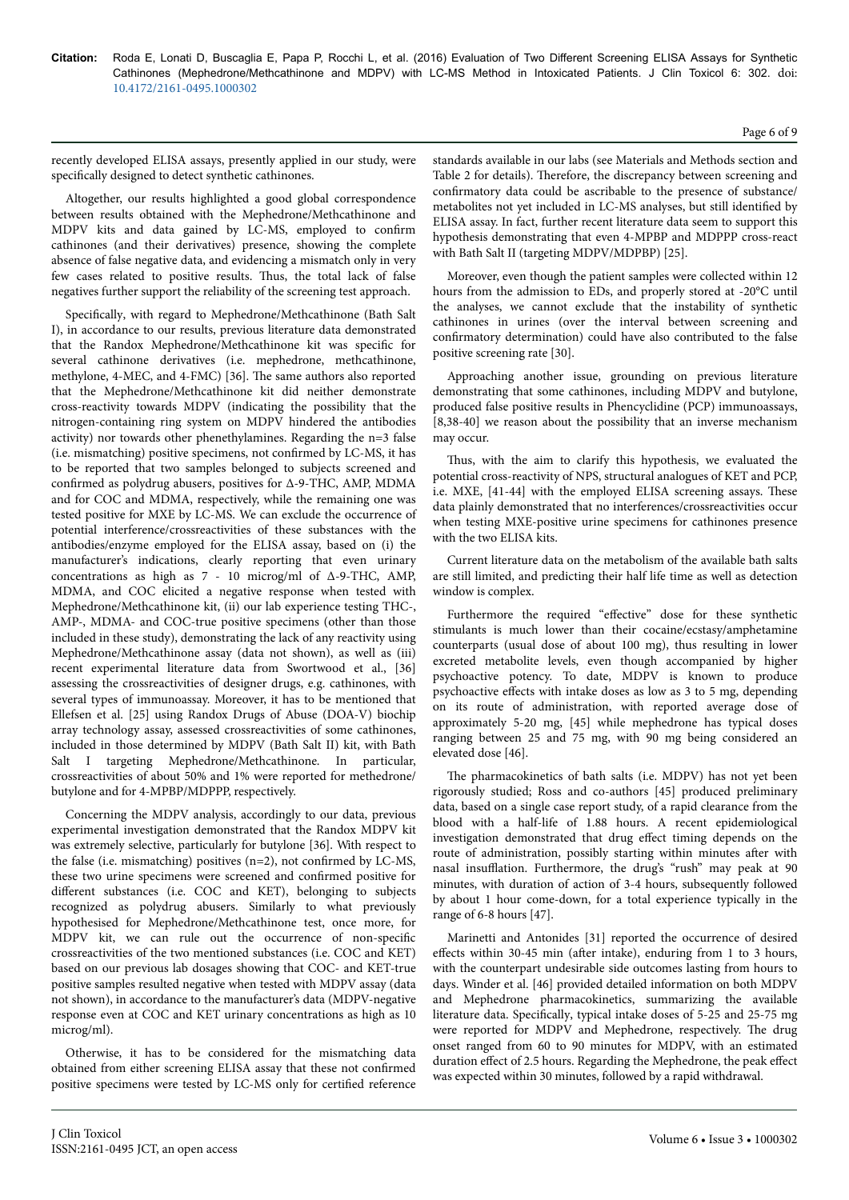#### Page 6 of 9

recently developed ELISA assays, presently applied in our study, were specifically designed to detect synthetic cathinones.

Altogether, our results highlighted a good global correspondence between results obtained with the Mephedrone/Methcathinone and MDPV kits and data gained by LC-MS, employed to confirm cathinones (and their derivatives) presence, showing the complete absence of false negative data, and evidencing a mismatch only in very few cases related to positive results. Нus, the total lack of false negatives further support the reliability of the screening test approach.

Specifically, with regard to Mephedrone/Methcathinone (Bath Salt I), in accordance to our results, previous literature data demonstrated that the Randox Mephedrone/Methcathinone kit was specific for several cathinone derivatives (i.e. mephedrone, methcathinone, methylone, 4-MEC, and 4-FMC) [36]. Нe same authors also reported that the Mephedrone/Methcathinone kit did neither demonstrate cross-reactivity towards MDPV (indicating the possibility that the nitrogen-containing ring system on MDPV hindered the antibodies activity) nor towards other phenethylamines. Regarding the n=3 false (i.e. mismatching) positive specimens, not confirmed by LC-MS, it has to be reported that two samples belonged to subjects screened and confirmed as polydrug abusers, positives for Δ-9-THC, AMP, MDMA and for COC and MDMA, respectively, while the remaining one was tested positive for MXE by LC-MS. We can exclude the occurrence of potential interference/crossreactivities of these substances with the antibodies/enzyme employed for the ELISA assay, based on (i) the manufacturer's indications, clearly reporting that even urinary concentrations as high as 7 - 10 microg/ml of Δ-9-THC, AMP, MDMA, and COC elicited a negative response when tested with Mephedrone/Methcathinone kit, (ii) our lab experience testing THC-, AMP-, MDMA- and COC-true positive specimens (other than those included in these study), demonstrating the lack of any reactivity using Mephedrone/Methcathinone assay (data not shown), as well as (iii) recent experimental literature data from Swortwood et al., [36] assessing the crossreactivities of designer drugs, e.g. cathinones, with several types of immunoassay. Moreover, it has to be mentioned that Ellefsen et al. [25] using Randox Drugs of Abuse (DOA-V) biochip array technology assay, assessed crossreactivities of some cathinones, included in those determined by MDPV (Bath Salt II) kit, with Bath Salt I targeting Mephedrone/Methcathinone. In particular, crossreactivities of about 50% and 1% were reported for methedrone/ butylone and for 4-MPBP/MDPPP, respectively.

Concerning the MDPV analysis, accordingly to our data, previous experimental investigation demonstrated that the Randox MDPV kit was extremely selective, particularly for butylone [36]. With respect to the false (i.e. mismatching) positives (n=2), not confirmed by LC-MS, these two urine specimens were screened and confirmed positive for different substances (i.e. COC and KET), belonging to subjects recognized as polydrug abusers. Similarly to what previously hypothesised for Mephedrone/Methcathinone test, once more, for MDPV kit, we can rule out the occurrence of non-specific crossreactivities of the two mentioned substances (i.e. COC and KET) based on our previous lab dosages showing that COC- and KET-true positive samples resulted negative when tested with MDPV assay (data not shown), in accordance to the manufacturer's data (MDPV-negative response even at COC and KET urinary concentrations as high as 10 microg/ml).

Otherwise, it has to be considered for the mismatching data obtained from either screening ELISA assay that these not confirmed positive specimens were tested by LC-MS only for certified reference standards available in our labs (see Materials and Methods section and Table 2 for details). Нerefore, the discrepancy between screening and confirmatory data could be ascribable to the presence of substance/ metabolites not yet included in LC-MS analyses, but still identified by ELISA assay. In fact, further recent literature data seem to support this hypothesis demonstrating that even 4-MPBP and MDPPP cross-react with Bath Salt II (targeting MDPV/MDPBP) [25].

Moreover, even though the patient samples were collected within 12 hours from the admission to EDs, and properly stored at -20°C until the analyses, we cannot exclude that the instability of synthetic cathinones in urines (over the interval between screening and confirmatory determination) could have also contributed to the false positive screening rate [30].

Approaching another issue, grounding on previous literature demonstrating that some cathinones, including MDPV and butylone, produced false positive results in Phencyclidine (PCP) immunoassays, [8,38-40] we reason about the possibility that an inverse mechanism may occur.

Thus, with the aim to clarify this hypothesis, we evaluated the potential cross-reactivity of NPS, structural analogues of KET and PCP, i.e. MXE, [41-44] with the employed ELISA screening assays. Нese data plainly demonstrated that no interferences/crossreactivities occur when testing MXE-positive urine specimens for cathinones presence with the two ELISA kits.

Current literature data on the metabolism of the available bath salts are still limited, and predicting their half life time as well as detection window is complex.

Furthermore the required "effective" dose for these synthetic stimulants is much lower than their cocaine/ecstasy/amphetamine counterparts (usual dose of about 100 mg), thus resulting in lower excreted metabolite levels, even though accompanied by higher psychoactive potency. To date, MDPV is known to produce psychoactive effects with intake doses as low as 3 to 5 mg, depending on its route of administration, with reported average dose of approximately 5-20 mg, [45] while mephedrone has typical doses ranging between 25 and 75 mg, with 90 mg being considered an elevated dose [46].

The pharmacokinetics of bath salts (i.e. MDPV) has not yet been rigorously studied; Ross and co-authors [45] produced preliminary data, based on a single case report study, of a rapid clearance from the blood with a half-life of 1.88 hours. A recent epidemiological investigation demonstrated that drug effect timing depends on the route of administration, possibly starting within minutes after with nasal insufflation. Furthermore, the drug's "rush" may peak at 90 minutes, with duration of action of 3-4 hours, subsequently followed by about 1 hour come-down, for a total experience typically in the range of 6-8 hours [47].

Marinetti and Antonides [31] reported the occurrence of desired effects within 30-45 min (after intake), enduring from 1 to 3 hours, with the counterpart undesirable side outcomes lasting from hours to days. Winder et al. [46] provided detailed information on both MDPV and Mephedrone pharmacokinetics, summarizing the available literature data. Specifically, typical intake doses of 5-25 and 25-75 mg were reported for MDPV and Mephedrone, respectively. Нe drug onset ranged from 60 to 90 minutes for MDPV, with an estimated duration effect of 2.5 hours. Regarding the Mephedrone, the peak effect was expected within 30 minutes, followed by a rapid withdrawal.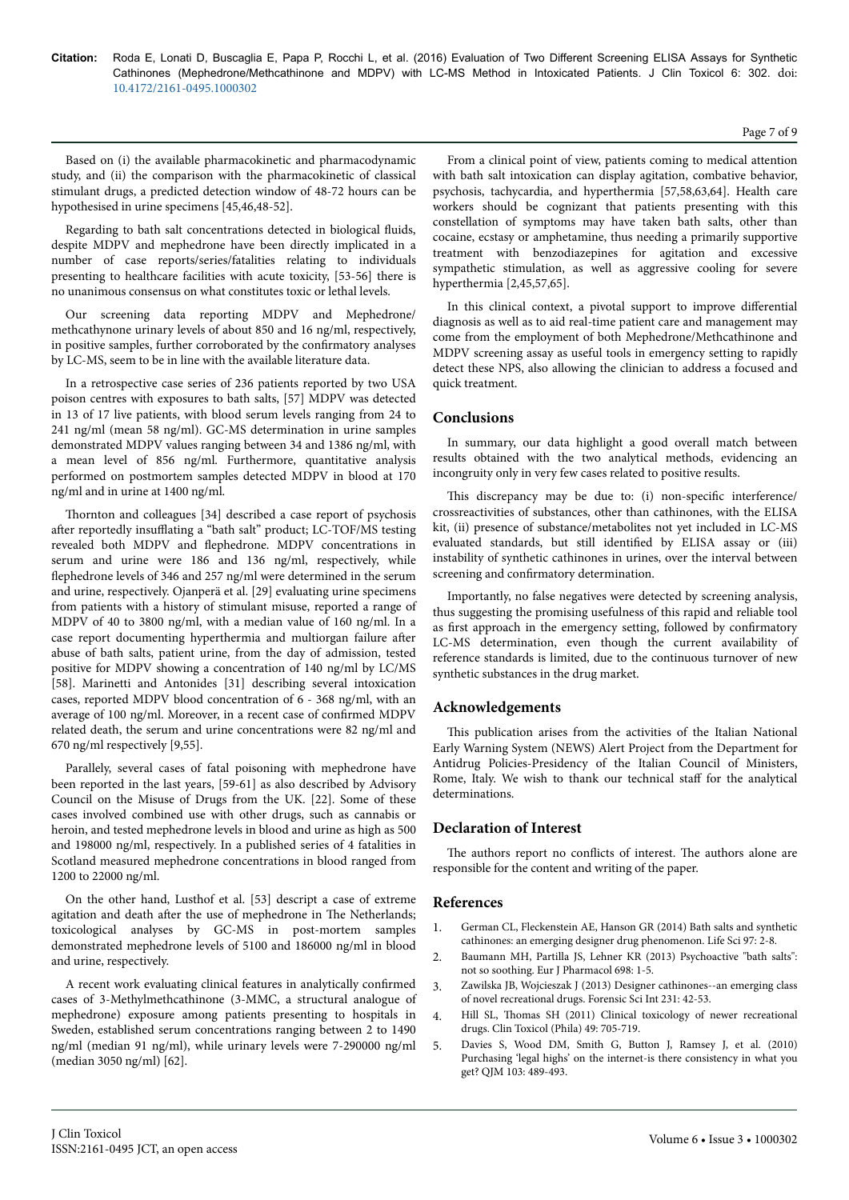#### Page 7 of 9

Based on (i) the available pharmacokinetic and pharmacodynamic study, and (ii) the comparison with the pharmacokinetic of classical stimulant drugs, a predicted detection window of 48-72 hours can be hypothesised in urine specimens [45,46,48-52].

Regarding to bath salt concentrations detected in biological fluids, despite MDPV and mephedrone have been directly implicated in a number of case reports/series/fatalities relating to individuals presenting to healthcare facilities with acute toxicity, [53-56] there is no unanimous consensus on what constitutes toxic or lethal levels.

Our screening data reporting MDPV and Mephedrone/ methcathynone urinary levels of about 850 and 16 ng/ml, respectively, in positive samples, further corroborated by the confirmatory analyses by LC-MS, seem to be in line with the available literature data.

In a retrospective case series of 236 patients reported by two USA poison centres with exposures to bath salts, [57] MDPV was detected in 13 of 17 live patients, with blood serum levels ranging from 24 to 241 ng/ml (mean 58 ng/ml). GC-MS determination in urine samples demonstrated MDPV values ranging between 34 and 1386 ng/ml, with a mean level of 856 ng/ml. Furthermore, quantitative analysis performed on postmortem samples detected MDPV in blood at 170 ng/ml and in urine at 1400 ng/ml.

Нornton and colleagues [34] described a case report of psychosis after reportedly insufflating a "bath salt" product; LC-TOF/MS testing revealed both MDPV and flephedrone. MDPV concentrations in serum and urine were 186 and 136 ng/ml, respectively, while flephedrone levels of 346 and 257 ng/ml were determined in the serum and urine, respectively. Ojanperä et al. [29] evaluating urine specimens from patients with a history of stimulant misuse, reported a range of MDPV of 40 to 3800 ng/ml, with a median value of 160 ng/ml. In a case report documenting hyperthermia and multiorgan failure after abuse of bath salts, patient urine, from the day of admission, tested positive for MDPV showing a concentration of 140 ng/ml by LC/MS [58]. Marinetti and Antonides [31] describing several intoxication cases, reported MDPV blood concentration of 6 - 368 ng/ml, with an average of 100 ng/ml. Moreover, in a recent case of confirmed MDPV related death, the serum and urine concentrations were 82 ng/ml and 670 ng/ml respectively [9,55].

Parallely, several cases of fatal poisoning with mephedrone have been reported in the last years, [59-61] as also described by Advisory Council on the Misuse of Drugs from the UK. [22]. Some of these cases involved combined use with other drugs, such as cannabis or heroin, and tested mephedrone levels in blood and urine as high as 500 and 198000 ng/ml, respectively. In a published series of 4 fatalities in Scotland measured mephedrone concentrations in blood ranged from 1200 to 22000 ng/ml.

On the other hand, Lusthof et al. [53] descript a case of extreme agitation and death after the use of mephedrone in The Netherlands; toxicological analyses by GC-MS in post-mortem samples demonstrated mephedrone levels of 5100 and 186000 ng/ml in blood and urine, respectively.

A recent work evaluating clinical features in analytically confirmed cases of 3-Methylmethcathinone (3-MMC, a structural analogue of mephedrone) exposure among patients presenting to hospitals in Sweden, established serum concentrations ranging between 2 to 1490 ng/ml (median 91 ng/ml), while urinary levels were 7-290000 ng/ml (median 3050 ng/ml) [62].

From a clinical point of view, patients coming to medical attention with bath salt intoxication can display agitation, combative behavior, psychosis, tachycardia, and hyperthermia [57,58,63,64]. Health care workers should be cognizant that patients presenting with this constellation of symptoms may have taken bath salts, other than cocaine, ecstasy or amphetamine, thus needing a primarily supportive treatment with benzodiazepines for agitation and excessive sympathetic stimulation, as well as aggressive cooling for severe hyperthermia [2,45,57,65].

In this clinical context, a pivotal support to improve differential diagnosis as well as to aid real-time patient care and management may come from the employment of both Mephedrone/Methcathinone and MDPV screening assay as useful tools in emergency setting to rapidly detect these NPS, also allowing the clinician to address a focused and quick treatment.

## **Conclusions**

In summary, our data highlight a good overall match between results obtained with the two analytical methods, evidencing an incongruity only in very few cases related to positive results.

This discrepancy may be due to: (i) non-specific interference/ crossreactivities of substances, other than cathinones, with the ELISA kit, (ii) presence of substance/metabolites not yet included in LC-MS evaluated standards, but still identified by ELISA assay or (iii) instability of synthetic cathinones in urines, over the interval between screening and confirmatory determination.

Importantly, no false negatives were detected by screening analysis, thus suggesting the promising usefulness of this rapid and reliable tool as first approach in the emergency setting, followed by confirmatory LC-MS determination, even though the current availability of reference standards is limited, due to the continuous turnover of new synthetic substances in the drug market.

## **Acknowledgements**

This publication arises from the activities of the Italian National Early Warning System (NEWS) Alert Project from the Department for Antidrug Policies-Presidency of the Italian Council of Ministers, Rome, Italy. We wish to thank our technical staff for the analytical determinations.

#### **Declaration of Interest**

The authors report no conflicts of interest. The authors alone are responsible for the content and writing of the paper.

#### **References**

- 1. [German CL, Fleckenstein AE, Hanson GR \(2014\) Bath salts and synthetic](http://www.ncbi.nlm.nih.gov/pubmed/23911668) [cathinones: an emerging designer drug phenomenon. Life Sci 97: 2-8.](http://www.ncbi.nlm.nih.gov/pubmed/23911668)
- 2. [Baumann MH, Partilla JS, Lehner KR \(2013\) Psychoactive "bath salts":](http://www.ncbi.nlm.nih.gov/pubmed/23178799) [not so soothing. Eur J Pharmacol 698: 1-5.](http://www.ncbi.nlm.nih.gov/pubmed/23178799)
- 3. [Zawilska JB, Wojcieszak J \(2013\) Designer cathinones--an emerging class](http://www.ncbi.nlm.nih.gov/pubmed/23890615) [of novel recreational drugs. Forensic Sci Int 231: 42-53.](http://www.ncbi.nlm.nih.gov/pubmed/23890615)
- 4. Hill SL, Нomas [SH \(2011\) Clinical toxicology of newer recreational](http://www.ncbi.nlm.nih.gov/pubmed/21970769) [drugs. Clin Toxicol \(Phila\) 49: 705-719.](http://www.ncbi.nlm.nih.gov/pubmed/21970769)
- 5. [Davies S, Wood DM, Smith G, Button J, Ramsey J, et al. \(2010\)](http://www.ncbi.nlm.nih.gov/pubmed/20413562) [Purchasing 'legal highs' on the internet-is there consistency in what you](http://www.ncbi.nlm.nih.gov/pubmed/20413562) [get? QJM 103: 489-493.](http://www.ncbi.nlm.nih.gov/pubmed/20413562)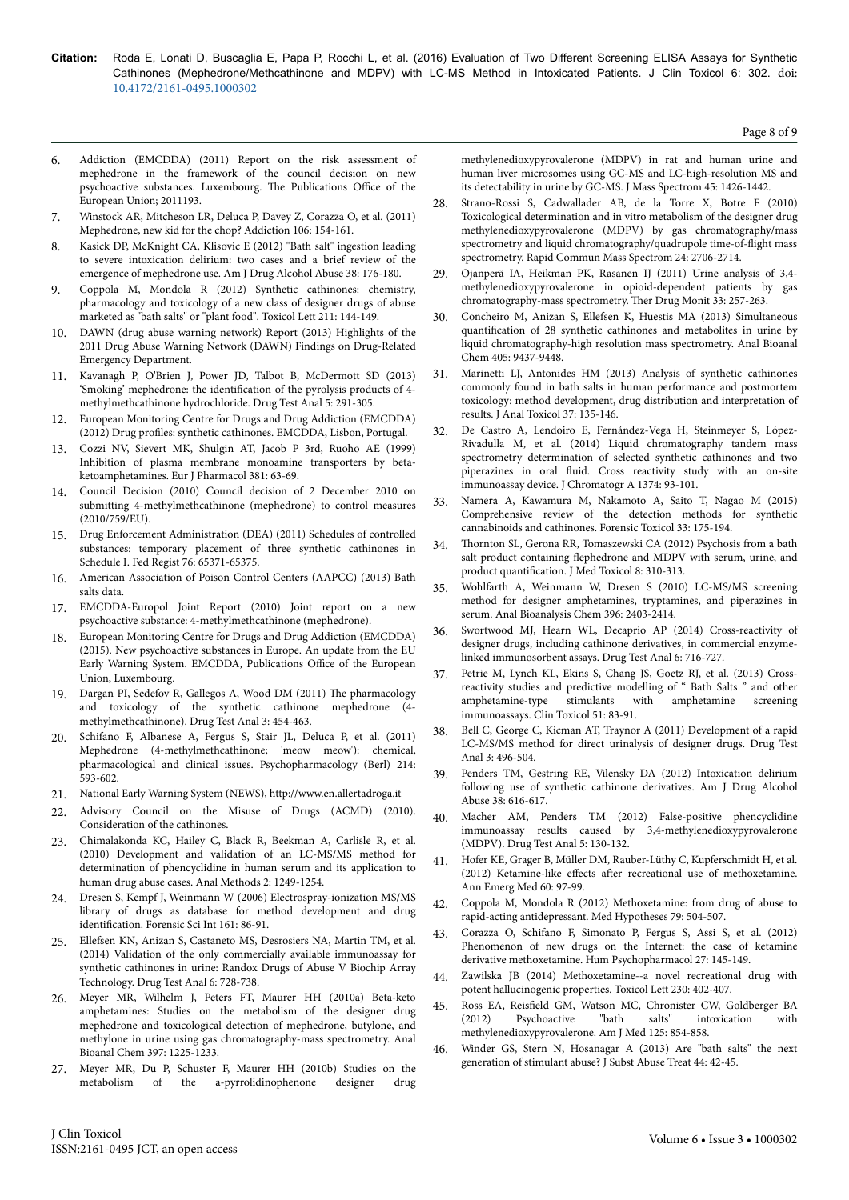Page 8 of 9

- 6. Addiction (EMCDDA) (2011) Report on the risk assessment of mephedrone in the framework of the council decision on new psychoactive substances. Luxembourg. The Publications Office of the European Union; 2011193.
- 7. [Winstock AR, Mitcheson LR, Deluca P, Davey Z, Corazza O, et al. \(2011\)](http://www.ncbi.nlm.nih.gov/pubmed/20735367) [Mephedrone, new kid for the chop? Addiction 106: 154-161.](http://www.ncbi.nlm.nih.gov/pubmed/20735367)
- 8. [Kasick DP, McKnight CA, Klisovic E \(2012\) "Bath salt" ingestion leading](http://www.ncbi.nlm.nih.gov/pubmed/22221190) [to severe intoxication delirium: two cases and a brief review of the](http://www.ncbi.nlm.nih.gov/pubmed/22221190) [emergence of mephedrone use. Am J Drug Alcohol Abuse 38: 176-180.](http://www.ncbi.nlm.nih.gov/pubmed/22221190)
- 9. [Coppola M, Mondola R \(2012\) Synthetic cathinones: chemistry,](http://www.ncbi.nlm.nih.gov/pubmed/22459606) [pharmacology and toxicology of a new class of designer drugs of abuse](http://www.ncbi.nlm.nih.gov/pubmed/22459606) [marketed as "bath salts" or "plant food". Toxicol Lett 211: 144-149.](http://www.ncbi.nlm.nih.gov/pubmed/22459606)
- 10. [DAWN \(drug abuse warning network\) Report \(2013\) Highlights of the](http://www.samhsa.gov/data) [2011 Drug Abuse Warning Network \(DAWN\) Findings on Drug-Related](http://www.samhsa.gov/data) [Emergency Department.](http://www.samhsa.gov/data)
- 11. [Kavanagh P, O'Brien J, Power JD, Talbot B, McDermott SD \(2013\)](http://www.ncbi.nlm.nih.gov/pubmed/22641432) 'Smoking' mephedrone: the identification [of the pyrolysis products of 4](http://www.ncbi.nlm.nih.gov/pubmed/22641432) [methylmethcathinone hydrochloride. Drug Test Anal 5: 291-305.](http://www.ncbi.nlm.nih.gov/pubmed/22641432)
- 12. [European Monitoring Centre for Drugs and Drug Addiction \(EMCDDA\)](http://www.emcdda.europa.eu/publications/drug-profiles/synthetic-cathinones) (2012) Drug profiles: [synthetic cathinones. EMCDDA, Lisbon, Portugal.](http://www.emcdda.europa.eu/publications/drug-profiles/synthetic-cathinones)
- 13. [Cozzi NV, Sievert MK, Shulgin AT, Jacob P 3rd, Ruoho AE \(1999\)](http://www.ncbi.nlm.nih.gov/pubmed/10528135) [Inhibition of plasma membrane monoamine transporters by beta](http://www.ncbi.nlm.nih.gov/pubmed/10528135)[ketoamphetamines. Eur J Pharmacol 381: 63-69.](http://www.ncbi.nlm.nih.gov/pubmed/10528135)
- 14. [Council Decision \(2010\) Council decision of 2 December 2010 on](http://publications.europa.eu/en/publication-detail/-/publication/95a5e7de-d1bc-4cb3-ba15-ce96786e88b2/language-en) [submitting 4-methylmethcathinone \(mephedrone\) to control measures](http://publications.europa.eu/en/publication-detail/-/publication/95a5e7de-d1bc-4cb3-ba15-ce96786e88b2/language-en) [\(2010/759/EU\).](http://publications.europa.eu/en/publication-detail/-/publication/95a5e7de-d1bc-4cb3-ba15-ce96786e88b2/language-en)
- 15. [Drug Enforcement Administration \(DEA\) \(2011\) Schedules of controlled](http://www.ncbi.nlm.nih.gov/pubmed/22016903) [substances: temporary placement of three synthetic cathinones in](http://www.ncbi.nlm.nih.gov/pubmed/22016903) [Schedule I. Fed Regist 76: 65371-65375.](http://www.ncbi.nlm.nih.gov/pubmed/22016903)
- 16. [American Association of Poison Control Centers \(AAPCC\) \(2013\) Bath](http://www.aapcc.org/alerts/bath-salts/) [salts data.](http://www.aapcc.org/alerts/bath-salts/)
- 17. [EMCDDA-Europol Joint Report \(2010\) Joint report on a new](http://www.emcdda.europa.eu/html.cfm/index132196EN.html) [psychoactive substance: 4-methylmethcathinone \(mephedrone\).](http://www.emcdda.europa.eu/html.cfm/index132196EN.html)
- 18. European Monitoring Centre for Drugs and Drug Addiction (EMCDDA) (2015). New psychoactive substances in Europe. An update from the EU Early Warning System. EMCDDA, Publications Office of the European Union, Luxembourg.
- 19. [Dargan PI, Sedefov R, Gallegos A, Wood DM \(2011\)](http://www.ncbi.nlm.nih.gov/pubmed/21755604) Нe pharmacology [and toxicology of the synthetic cathinone mephedrone \(4](http://www.ncbi.nlm.nih.gov/pubmed/21755604) [methylmethcathinone\). Drug Test Anal 3: 454-463.](http://www.ncbi.nlm.nih.gov/pubmed/21755604)
- 20. [Schifano F, Albanese A, Fergus S, Stair JL, Deluca P, et al. \(2011\)](http://www.ncbi.nlm.nih.gov/pubmed/21072502) [Mephedrone \(4-methylmethcathinone; 'meow meow'\): chemical,](http://www.ncbi.nlm.nih.gov/pubmed/21072502) [pharmacological and clinical issues. Psychopharmacology \(Berl\) 214:](http://www.ncbi.nlm.nih.gov/pubmed/21072502) [593-602.](http://www.ncbi.nlm.nih.gov/pubmed/21072502)
- 21. National Early Warning System (NEWS), http://www.en.allertadroga.it
- 22. Advisory Council on the Misuse of Drugs (ACMD) (2010). Consideration of the cathinones.
- 23. [Chimalakonda KC, Hailey C, Black R, Beekman A, Carlisle R, et al.](http://www.ncbi.nlm.nih.gov/pmc/articles/PMC2955886/) [\(2010\) Development and validation of an LC-MS/MS method for](http://www.ncbi.nlm.nih.gov/pmc/articles/PMC2955886/) [determination of phencyclidine in human serum and its application to](http://www.ncbi.nlm.nih.gov/pmc/articles/PMC2955886/) [human drug abuse cases. Anal Methods 2: 1249-1254.](http://www.ncbi.nlm.nih.gov/pmc/articles/PMC2955886/)
- 24. [Dresen S, Kempf J, Weinmann W \(2006\) Electrospray-ionization MS/MS](http://www.ncbi.nlm.nih.gov/pubmed/16860958) [library of drugs as database for method development and drug](http://www.ncbi.nlm.nih.gov/pubmed/16860958) identification. [Forensic Sci Int 161: 86-91.](http://www.ncbi.nlm.nih.gov/pubmed/16860958)
- 25. [Ellefsen KN, Anizan S, Castaneto MS, Desrosiers NA, Martin TM, et al.](http://www.ncbi.nlm.nih.gov/pubmed/24659527) [\(2014\) Validation of the only commercially available immunoassay for](http://www.ncbi.nlm.nih.gov/pubmed/24659527) [synthetic cathinones in urine: Randox Drugs of Abuse V Biochip Array](http://www.ncbi.nlm.nih.gov/pubmed/24659527) [Technology. Drug Test Anal 6: 728-738.](http://www.ncbi.nlm.nih.gov/pubmed/24659527)
- 26. [Meyer MR, Wilhelm J, Peters FT, Maurer HH \(2010a\) Beta-keto](http://www.ncbi.nlm.nih.gov/pubmed/20333362) [amphetamines: Studies on the metabolism of the designer drug](http://www.ncbi.nlm.nih.gov/pubmed/20333362) [mephedrone and toxicological detection of mephedrone, butylone, and](http://www.ncbi.nlm.nih.gov/pubmed/20333362) [methylone in urine using gas chromatography-mass spectrometry. Anal](http://www.ncbi.nlm.nih.gov/pubmed/20333362) [Bioanal Chem 397: 1225-1233.](http://www.ncbi.nlm.nih.gov/pubmed/20333362)
- 27. [Meyer MR, Du P, Schuster F, Maurer HH \(2010b\) Studies on the](http://www.ncbi.nlm.nih.gov/pubmed/21053377) metabolism of the a-pyrrolidinophenone

[methylenedioxypyrovalerone \(MDPV\) in rat and human urine and](http://www.ncbi.nlm.nih.gov/pubmed/21053377) [human liver microsomes using GC-MS and LC-high-resolution MS and](http://www.ncbi.nlm.nih.gov/pubmed/21053377) [its detectability in urine by GC-MS. J Mass Spectrom 45: 1426-1442.](http://www.ncbi.nlm.nih.gov/pubmed/21053377)

- 28. [Strano-Rossi S, Cadwallader AB, de la Torre X, Botre F \(2010\)](http://www.ncbi.nlm.nih.gov/pubmed/20814976) [Toxicological determination and in vitro metabolism of the designer drug](http://www.ncbi.nlm.nih.gov/pubmed/20814976) [methylenedioxypyrovalerone \(MDPV\) by gas chromatography/mass](http://www.ncbi.nlm.nih.gov/pubmed/20814976) [spectrometry and liquid chromatography/quadrupole](http://www.ncbi.nlm.nih.gov/pubmed/20814976) time-of-flight mass [spectrometry. Rapid Commun Mass Spectrom 24: 2706-2714.](http://www.ncbi.nlm.nih.gov/pubmed/20814976)
- 29. [Ojanperä IA, Heikman PK, Rasanen IJ \(2011\) Urine analysis of 3,4](http://www.ncbi.nlm.nih.gov/pubmed/21240056) [methylenedioxypyrovalerone in opioid-dependent patients by gas](http://www.ncbi.nlm.nih.gov/pubmed/21240056) [chromatography-mass spectrometry.](http://www.ncbi.nlm.nih.gov/pubmed/21240056) Нer Drug Monit 33: 257-263.
- 30. [Concheiro M, Anizan S, Ellefsen K, Huestis MA \(2013\) Simultaneous](http://www.ncbi.nlm.nih.gov/pubmed/24196122) quantification [of 28 synthetic cathinones and metabolites in urine by](http://www.ncbi.nlm.nih.gov/pubmed/24196122) [liquid chromatography-high resolution mass spectrometry. Anal Bioanal](http://www.ncbi.nlm.nih.gov/pubmed/24196122) [Chem 405: 9437-9448.](http://www.ncbi.nlm.nih.gov/pubmed/24196122)
- 31. [Marinetti LJ, Antonides HM \(2013\) Analysis of synthetic cathinones](http://www.ncbi.nlm.nih.gov/pubmed/23361867) [commonly found in bath salts in human performance and postmortem](http://www.ncbi.nlm.nih.gov/pubmed/23361867) [toxicology: method development, drug distribution and interpretation of](http://www.ncbi.nlm.nih.gov/pubmed/23361867) [results. J Anal Toxicol 37: 135-146.](http://www.ncbi.nlm.nih.gov/pubmed/23361867)
- 32. [De Castro A, Lendoiro E, Fernández-Vega H, Steinmeyer S, López-](http://www.ncbi.nlm.nih.gov/pubmed/25482853)[Rivadulla M, et al. \(2014\) Liquid chromatography tandem mass](http://www.ncbi.nlm.nih.gov/pubmed/25482853) [spectrometry determination of selected synthetic cathinones and two](http://www.ncbi.nlm.nih.gov/pubmed/25482853) piperazines in oral fluid. [Cross reactivity study with an on-site](http://www.ncbi.nlm.nih.gov/pubmed/25482853) [immunoassay device. J Chromatogr A 1374: 93-101.](http://www.ncbi.nlm.nih.gov/pubmed/25482853)
- 33. [Namera A, Kawamura M, Nakamoto A, Saito T, Nagao M \(2015\)](http://www.ncbi.nlm.nih.gov/pubmed/26257831) [Comprehensive review of the detection methods for synthetic](http://www.ncbi.nlm.nih.gov/pubmed/26257831) [cannabinoids and cathinones. Forensic Toxicol 33: 175-194.](http://www.ncbi.nlm.nih.gov/pubmed/26257831)
- 34. Нornton [SL, Gerona RR, Tomaszewski CA \(2012\) Psychosis from a bath](http://www.ncbi.nlm.nih.gov/pubmed/22528592) salt product containing flephedrone [and MDPV with serum, urine, and](http://www.ncbi.nlm.nih.gov/pubmed/22528592) product quantification. [J Med Toxicol 8: 310-313.](http://www.ncbi.nlm.nih.gov/pubmed/22528592)
- 35. [Wohlfarth A, Weinmann W, Dresen S \(2010\) LC-MS/MS screening](http://www.ncbi.nlm.nih.gov/pubmed/20069283) [method for designer amphetamines, tryptamines, and piperazines in](http://www.ncbi.nlm.nih.gov/pubmed/20069283) [serum. Anal Bioanalysis Chem 396: 2403-2414.](http://www.ncbi.nlm.nih.gov/pubmed/20069283)
- 36. [Swortwood MJ, Hearn WL, Decaprio AP \(2014\) Cross-reactivity of](http://onlinelibrary.wiley.com/doi/10.1002/dta.1489/abstract) [designer drugs, including cathinone derivatives, in commercial enzyme](http://onlinelibrary.wiley.com/doi/10.1002/dta.1489/abstract)[linked immunosorbent assays. Drug Test Anal 6: 716-727.](http://onlinelibrary.wiley.com/doi/10.1002/dta.1489/abstract)
- 37. [Petrie M, Lynch KL, Ekins S, Chang JS, Goetz RJ, et al. \(2013\) Cross](http://www.ncbi.nlm.nih.gov/pubmed/23387345)[reactivity studies and predictive modelling of " Bath Salts " and other](http://www.ncbi.nlm.nih.gov/pubmed/23387345) [amphetamine-type stimulants with amphetamine screening](http://www.ncbi.nlm.nih.gov/pubmed/23387345) [immunoassays. Clin Toxicol 51: 83-91.](http://www.ncbi.nlm.nih.gov/pubmed/23387345)
- [Bell C, George C, Kicman AT, Traynor A \(2011\) Development of a rapid](http://www.ncbi.nlm.nih.gov/pubmed/21744513) [LC-MS/MS method for direct urinalysis of designer drugs. Drug Test](http://www.ncbi.nlm.nih.gov/pubmed/21744513) [Anal 3: 496-504.](http://www.ncbi.nlm.nih.gov/pubmed/21744513)
- 39. [Penders TM, Gestring RE, Vilensky DA \(2012\) Intoxication delirium](http://www.ncbi.nlm.nih.gov/pubmed/22783894) [following use of synthetic cathinone derivatives. Am J Drug Alcohol](http://www.ncbi.nlm.nih.gov/pubmed/22783894) [Abuse 38: 616-617.](http://www.ncbi.nlm.nih.gov/pubmed/22783894)
- 40. [Macher AM, Penders TM \(2012\) False-positive phencyclidine](http://www.ncbi.nlm.nih.gov/pubmed/22611039) [immunoassay results caused by 3,4-methylenedioxypyrovalerone](http://www.ncbi.nlm.nih.gov/pubmed/22611039) [\(MDPV\). Drug Test Anal 5: 130-132.](http://www.ncbi.nlm.nih.gov/pubmed/22611039)
- 41. [Hofer KE, Grager B, Müller DM, Rauber-Lüthy C, Kupferschmidt H, et al.](http://www.ncbi.nlm.nih.gov/pubmed/22237166) (2012) Ketamine-like effects after [recreational use of methoxetamine.](http://www.ncbi.nlm.nih.gov/pubmed/22237166) [Ann Emerg Med 60: 97-99.](http://www.ncbi.nlm.nih.gov/pubmed/22237166)
- 42. [Coppola M, Mondola R \(2012\) Methoxetamine: from drug of abuse to](http://www.ncbi.nlm.nih.gov/pubmed/22819129) [rapid-acting antidepressant. Med Hypotheses 79: 504-507.](http://www.ncbi.nlm.nih.gov/pubmed/22819129)
- 43. [Corazza O, Schifano F, Simonato P, Fergus S, Assi S, et al. \(2012\)](http://www.ncbi.nlm.nih.gov/pubmed/22389078) [Phenomenon of new drugs on the Internet: the case of ketamine](http://www.ncbi.nlm.nih.gov/pubmed/22389078) [derivative methoxetamine. Hum Psychopharmacol 27: 145-149.](http://www.ncbi.nlm.nih.gov/pubmed/22389078)
- 44. [Zawilska JB \(2014\) Methoxetamine--a novel recreational drug with](http://www.ncbi.nlm.nih.gov/pubmed/25128700) [potent hallucinogenic properties. Toxicol Lett 230: 402-407.](http://www.ncbi.nlm.nih.gov/pubmed/25128700)
- 45. Ross EA, Reisfield [GM, Watson MC, Chronister CW, Goldberger BA](http://www.ncbi.nlm.nih.gov/pubmed/22682791) (2012) Psychoactive "bath salts" intoxication with Psychoactive [methylenedioxypyrovalerone. Am J Med 125: 854-858.](http://www.ncbi.nlm.nih.gov/pubmed/22682791)
- 46. [Winder GS, Stern N, Hosanagar A \(2013\) Are "bath salts" the next](http://www.ncbi.nlm.nih.gov/pubmed/22445773) [generation of stimulant abuse? J Subst Abuse Treat 44: 42-45.](http://www.ncbi.nlm.nih.gov/pubmed/22445773)